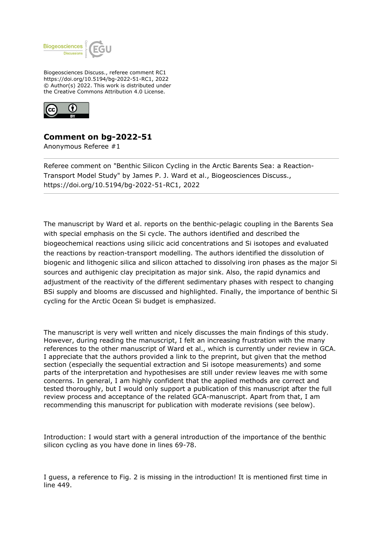

Biogeosciences Discuss., referee comment RC1 https://doi.org/10.5194/bg-2022-51-RC1, 2022 © Author(s) 2022. This work is distributed under the Creative Commons Attribution 4.0 License.



## **Comment on bg-2022-51**

Anonymous Referee #1

Referee comment on "Benthic Silicon Cycling in the Arctic Barents Sea: a Reaction-Transport Model Study" by James P. J. Ward et al., Biogeosciences Discuss., https://doi.org/10.5194/bg-2022-51-RC1, 2022

The manuscript by Ward et al. reports on the benthic-pelagic coupling in the Barents Sea with special emphasis on the Si cycle. The authors identified and described the biogeochemical reactions using silicic acid concentrations and Si isotopes and evaluated the reactions by reaction-transport modelling. The authors identified the dissolution of biogenic and lithogenic silica and silicon attached to dissolving iron phases as the major Si sources and authigenic clay precipitation as major sink. Also, the rapid dynamics and adjustment of the reactivity of the different sedimentary phases with respect to changing BSi supply and blooms are discussed and highlighted. Finally, the importance of benthic Si cycling for the Arctic Ocean Si budget is emphasized.

The manuscript is very well written and nicely discusses the main findings of this study. However, during reading the manuscript, I felt an increasing frustration with the many references to the other manuscript of Ward et al., which is currently under review in GCA. I appreciate that the authors provided a link to the preprint, but given that the method section (especially the sequential extraction and Si isotope measurements) and some parts of the interpretation and hypothesises are still under review leaves me with some concerns. In general, I am highly confident that the applied methods are correct and tested thoroughly, but I would only support a publication of this manuscript after the full review process and acceptance of the related GCA-manuscript. Apart from that, I am recommending this manuscript for publication with moderate revisions (see below).

Introduction: I would start with a general introduction of the importance of the benthic silicon cycling as you have done in lines 69-78.

I guess, a reference to Fig. 2 is missing in the introduction! It is mentioned first time in line 449.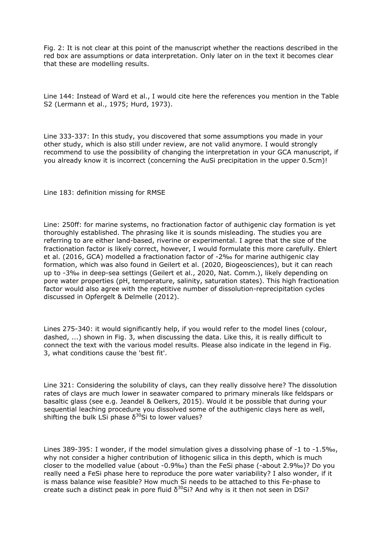Fig. 2: It is not clear at this point of the manuscript whether the reactions described in the red box are assumptions or data interpretation. Only later on in the text it becomes clear that these are modelling results.

Line 144: Instead of Ward et al., I would cite here the references you mention in the Table S2 (Lermann et al., 1975; Hurd, 1973).

Line 333-337: In this study, you discovered that some assumptions you made in your other study, which is also still under review, are not valid anymore. I would strongly recommend to use the possibility of changing the interpretation in your GCA manuscript, if you already know it is incorrect (concerning the AuSi precipitation in the upper 0.5cm)!

Line 183: definition missing for RMSE

Line: 250ff: for marine systems, no fractionation factor of authigenic clay formation is yet thoroughly established. The phrasing like it is sounds misleading. The studies you are referring to are either land-based, riverine or experimental. I agree that the size of the fractionation factor is likely correct, however, I would formulate this more carefully. Ehlert et al. (2016, GCA) modelled a fractionation factor of -2‰ for marine authigenic clay formation, which was also found in Geilert et al. (2020, Biogeosciences), but it can reach up to -3‰ in deep-sea settings (Geilert et al., 2020, Nat. Comm.), likely depending on pore water properties (pH, temperature, salinity, saturation states). This high fractionation factor would also agree with the repetitive number of dissolution-reprecipitation cycles discussed in Opfergelt & Delmelle (2012).

Lines 275-340: it would significantly help, if you would refer to the model lines (colour, dashed, ...) shown in Fig. 3, when discussing the data. Like this, it is really difficult to connect the text with the various model results. Please also indicate in the legend in Fig. 3, what conditions cause the 'best fit'.

Line 321: Considering the solubility of clays, can they really dissolve here? The dissolution rates of clays are much lower in seawater compared to primary minerals like feldspars or basaltic glass (see e.g. Jeandel & Oelkers, 2015). Would it be possible that during your sequential leaching procedure you dissolved some of the authigenic clays here as well, shifting the bulk LSi phase  $\delta^{30}$ Si to lower values?

Lines 389-395: I wonder, if the model simulation gives a dissolving phase of -1 to -1.5‰, why not consider a higher contribution of lithogenic silica in this depth, which is much closer to the modelled value (about -0.9‰) than the FeSi phase (-about 2.9‰)? Do you really need a FeSi phase here to reproduce the pore water variability? I also wonder, if it is mass balance wise feasible? How much Si needs to be attached to this Fe-phase to create such a distinct peak in pore fluid  $\delta^{30}$ Si? And why is it then not seen in DSi?